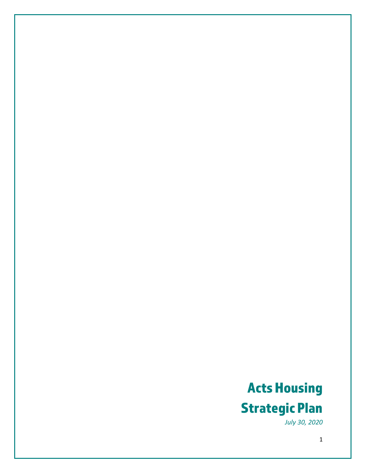# Acts Housing Strategic Plan

*July 30, 2020*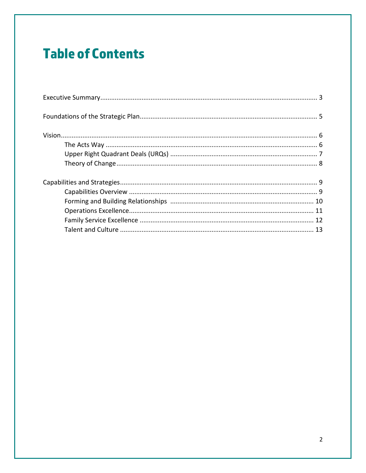# **Table of Contents**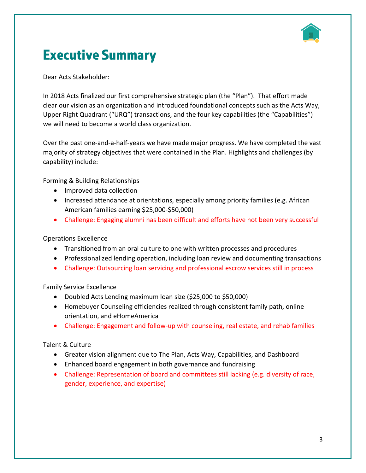

## Executive Summary

Dear Acts Stakeholder:

In 2018 Acts finalized our first comprehensive strategic plan (the "Plan"). That effort made clear our vision as an organization and introduced foundational concepts such as the Acts Way, Upper Right Quadrant ("URQ") transactions, and the four key capabilities (the "Capabilities") we will need to become a world class organization.

Over the past one-and-a-half-years we have made major progress. We have completed the vast majority of strategy objectives that were contained in the Plan. Highlights and challenges (by capability) include:

Forming & Building Relationships

- Improved data collection
- Increased attendance at orientations, especially among priority families (e.g. African American families earning \$25,000-\$50,000)
- Challenge: Engaging alumni has been difficult and efforts have not been very successful

#### Operations Excellence

- Transitioned from an oral culture to one with written processes and procedures
- Professionalized lending operation, including loan review and documenting transactions
- Challenge: Outsourcing loan servicing and professional escrow services still in process

Family Service Excellence

- Doubled Acts Lending maximum loan size (\$25,000 to \$50,000)
- Homebuyer Counseling efficiencies realized through consistent family path, online orientation, and eHomeAmerica
- Challenge: Engagement and follow-up with counseling, real estate, and rehab families

#### Talent & Culture

- Greater vision alignment due to The Plan, Acts Way, Capabilities, and Dashboard
- Enhanced board engagement in both governance and fundraising
- Challenge: Representation of board and committees still lacking (e.g. diversity of race, gender, experience, and expertise)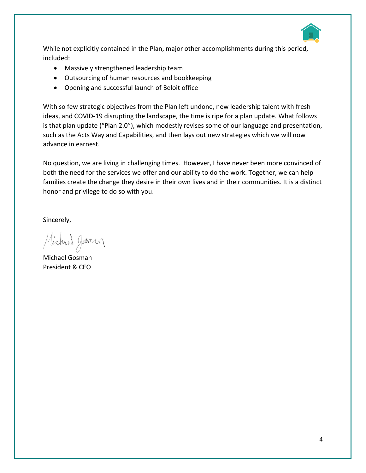

While not explicitly contained in the Plan, major other accomplishments during this period, included:

- Massively strengthened leadership team
- Outsourcing of human resources and bookkeeping
- Opening and successful launch of Beloit office

With so few strategic objectives from the Plan left undone, new leadership talent with fresh ideas, and COVID-19 disrupting the landscape, the time is ripe for a plan update. What follows is that plan update ("Plan 2.0"), which modestly revises some of our language and presentation, such as the Acts Way and Capabilities, and then lays out new strategies which we will now advance in earnest.

No question, we are living in challenging times. However, I have never been more convinced of both the need for the services we offer and our ability to do the work. Together, we can help families create the change they desire in their own lives and in their communities. It is a distinct honor and privilege to do so with you.

Sincerely,

Michael Josman

Michael Gosman President & CEO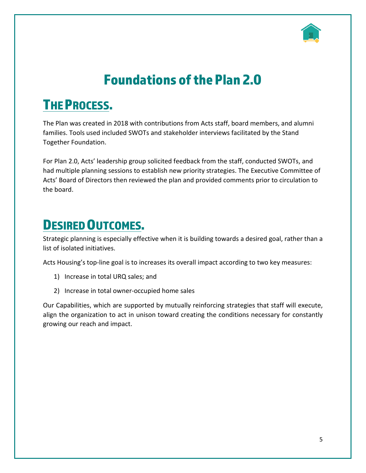

# Foundations of the Plan 2.0

# THE PROCESS.

The Plan was created in 2018 with contributions from Acts staff, board members, and alumni families. Tools used included SWOTs and stakeholder interviews facilitated by the Stand Together Foundation.

For Plan 2.0, Acts' leadership group solicited feedback from the staff, conducted SWOTs, and had multiple planning sessions to establish new priority strategies. The Executive Committee of Acts' Board of Directors then reviewed the plan and provided comments prior to circulation to the board.

## DESIRED OUTCOMES.

Strategic planning is especially effective when it is building towards a desired goal, rather than a list of isolated initiatives.

Acts Housing's top-line goal is to increases its overall impact according to two key measures:

- 1) Increase in total URQ sales; and
- 2) Increase in total owner-occupied home sales

Our Capabilities, which are supported by mutually reinforcing strategies that staff will execute, align the organization to act in unison toward creating the conditions necessary for constantly growing our reach and impact.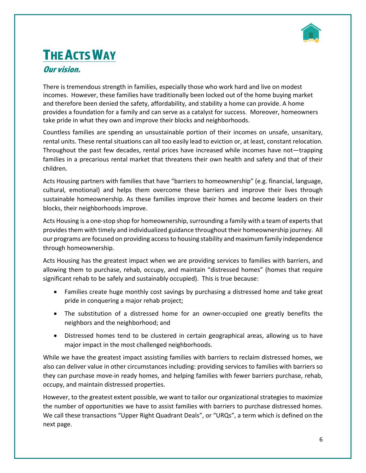

# **THE ACTS WAY**

#### Our vision.

There is tremendous strength in families, especially those who work hard and live on modest incomes. However, these families have traditionally been locked out of the home buying market and therefore been denied the safety, affordability, and stability a home can provide. A home provides a foundation for a family and can serve as a catalyst for success. Moreover, homeowners take pride in what they own and improve their blocks and neighborhoods.

Countless families are spending an unsustainable portion of their incomes on unsafe, unsanitary, rental units. These rental situations can all too easily lead to eviction or, at least, constant relocation. Throughout the past few decades, rental prices have increased while incomes have not—trapping families in a precarious rental market that threatens their own health and safety and that of their children.

Acts Housing partners with families that have "barriers to homeownership" (e.g. financial, language, cultural, emotional) and helps them overcome these barriers and improve their lives through sustainable homeownership. As these families improve their homes and become leaders on their blocks, their neighborhoods improve.

Acts Housing is a one-stop shop for homeownership, surrounding a family with a team of experts that provides them with timely and individualized guidance throughout their homeownership journey. All our programs are focused on providing access to housing stability and maximum family independence through homeownership.

Acts Housing has the greatest impact when we are providing services to families with barriers, and allowing them to purchase, rehab, occupy, and maintain "distressed homes" (homes that require significant rehab to be safely and sustainably occupied). This is true because:

- Families create huge monthly cost savings by purchasing a distressed home and take great pride in conquering a major rehab project;
- The substitution of a distressed home for an owner-occupied one greatly benefits the neighbors and the neighborhood; and
- Distressed homes tend to be clustered in certain geographical areas, allowing us to have major impact in the most challenged neighborhoods.

While we have the greatest impact assisting families with barriers to reclaim distressed homes, we also can deliver value in other circumstances including: providing services to families with barriers so they can purchase move-in ready homes, and helping families with fewer barriers purchase, rehab, occupy, and maintain distressed properties.

However, to the greatest extent possible, we want to tailor our organizational strategies to maximize the number of opportunities we have to assist families with barriers to purchase distressed homes. We call these transactions "Upper Right Quadrant Deals", or "URQs", a term which is defined on the next page.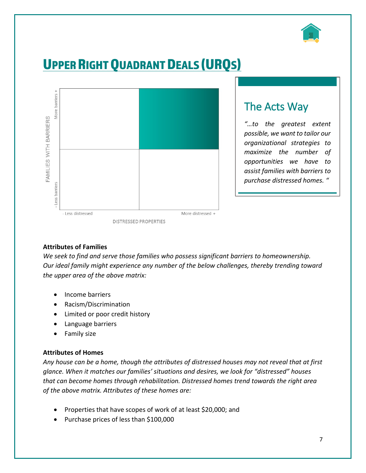

# UPPER RIGHT QUADRANT DEALS (URQS)



### The Acts Way

*"…to the greatest extent possible, we want to tailor our organizational strategies to maximize the number of opportunities we have to assist families with barriers to purchase distressed homes. "*

#### **Attributes of Families**

*We seek to find and serve those families who possess significant barriers to homeownership. Our ideal family might experience any number of the below challenges, thereby trending toward the upper area of the above matrix:*

- Income barriers
- Racism/Discrimination
- Limited or poor credit history
- Language barriers
- Family size

#### **Attributes of Homes**

*Any house can be a home, though the attributes of distressed houses may not reveal that at first glance. When it matches our families' situations and desires, we look for "distressed" houses that can become homes through rehabilitation. Distressed homes trend towards the right area of the above matrix. Attributes of these homes are:*

- Properties that have scopes of work of at least \$20,000; and
- Purchase prices of less than \$100,000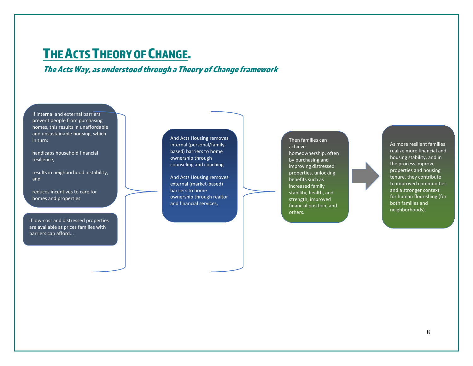### THE ACTS THEORY OF CHANGE.

The ActsWay, as understood through a Theory of Change framework

If internal and external barriers prevent people from purchasing homes, this results in unaffordable and unsustainable housing, which in turn:

handicaps household financial resilience,

results in neighborhood instability, and

reduces incentives to care for homes and properties

If low-cost and distressed properties are available at prices families with barriers can afford...

And Acts Housing removes internal (personal/familybased) barriers to home ownership through counseling and coaching

And Acts Housing removes external (market-based) barriers to home ownership through realtor and financial services,

Then families can achieve homeownership, often by purchasing and improving distressed properties, unlocking benefits such as increased family stability, health, and strength, improved financial position, and others.

As more resilient families realize more financial and housing stability, and in the process improve properties and housing tenure, they contribute to improved communities and a stronger context for human flourishing (for both families and neighborhoods).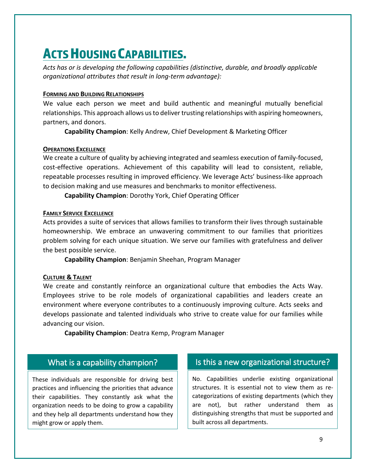## **ACTS HOUSING CAPABILITIES.**

*Acts has or is developing the following capabilities (distinctive, durable, and broadly applicable organizational attributes that result in long-term advantage):*

#### **FORMING AND BUILDING RELATIONSHIPS**

We value each person we meet and build authentic and meaningful mutually beneficial relationships. This approach allows us to deliver trusting relationships with aspiring homeowners, partners, and donors.

**Capability Champion**: Kelly Andrew, Chief Development & Marketing Officer

#### **OPERATIONS EXCELLENCE**

We create a culture of quality by achieving integrated and seamless execution of family-focused, cost-effective operations. Achievement of this capability will lead to consistent, reliable, repeatable processes resulting in improved efficiency. We leverage Acts' business-like approach to decision making and use measures and benchmarks to monitor effectiveness.

**Capability Champion**: Dorothy York, Chief Operating Officer

#### **FAMILY SERVICE EXCELLENCE**

Acts provides a suite of services that allows families to transform their lives through sustainable homeownership. We embrace an unwavering commitment to our families that prioritizes problem solving for each unique situation. We serve our families with gratefulness and deliver the best possible service.

**Capability Champion**: Benjamin Sheehan, Program Manager

#### **CULTURE & TALENT**

We create and constantly reinforce an organizational culture that embodies the Acts Way. Employees strive to be role models of organizational capabilities and leaders create an environment where everyone contributes to a continuously improving culture. Acts seeks and develops passionate and talented individuals who strive to create value for our families while advancing our vision.

**Capability Champion**: Deatra Kemp, Program Manager

#### What is a capability champion?

These individuals are responsible for driving best practices and influencing the priorities that advance their capabilities. They constantly ask what the organization needs to be doing to grow a capability and they help all departments understand how they might grow or apply them.

#### Is this a new organizational structure?

No. Capabilities underlie existing organizational structures. It is essential not to view them as recategorizations of existing departments (which they are not), but rather understand them as distinguishing strengths that must be supported and built across all departments.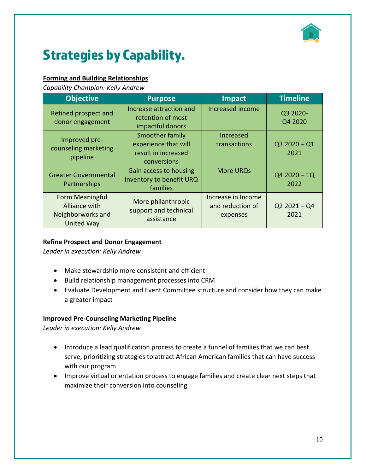

# Strategies by Capability.

#### **Forming and Building Relationships**

*Capability Champion: Kelly Andrew*

| <b>Objective</b>                                                           | <b>Purpose</b>                                                                | <b>Impact</b>                                      | <b>Timeline</b>        |
|----------------------------------------------------------------------------|-------------------------------------------------------------------------------|----------------------------------------------------|------------------------|
| Refined prospect and<br>donor engagement                                   | Increase attraction and<br>retention of most<br>impactful donors              | <b>Increased income</b>                            | Q3 2020-<br>Q4 2020    |
| Improved pre-<br>counseling marketing<br>pipeline                          | Smoother family<br>experience that will<br>result in increased<br>conversions | Increased<br>transactions                          | $Q32020 - Q1$<br>2021  |
| <b>Greater Governmental</b><br>Partnerships                                | Gain access to housing<br>inventory to benefit URQ<br>families                | <b>More URQs</b>                                   | $Q42020 - 1Q$<br>2022  |
| Form Meaningful<br>Alliance with<br>Neighborworks and<br><b>United Way</b> | More philanthropic<br>support and technical<br>assistance                     | Increase in Income<br>and reduction of<br>expenses | $Q2 2021 - Q4$<br>2021 |

#### **Refine Prospect and Donor Engagement**

*Leader in execution: Kelly Andrew*

- Make stewardship more consistent and efficient
- Build relationship management processes into CRM
- Evaluate Development and Event Committee structure and consider how they can make a greater impact

#### **Improved Pre-Counseling Marketing Pipeline**

*Leader in execution: Kelly Andrew*

- Introduce a lead qualification process to create a funnel of families that we can best serve, prioritizing strategies to attract African American families that can have success with our program
- Improve virtual orientation process to engage families and create clear next steps that maximize their conversion into counseling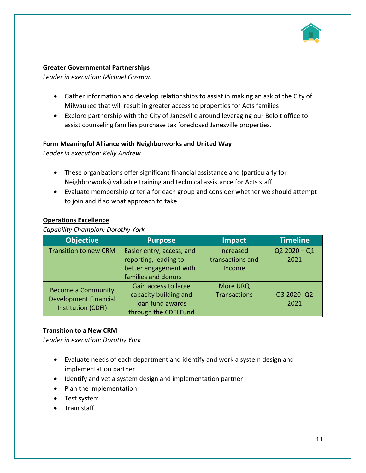

#### **Greater Governmental Partnerships**

*Leader in execution: Michael Gosman*

- Gather information and develop relationships to assist in making an ask of the City of Milwaukee that will result in greater access to properties for Acts families
- Explore partnership with the City of Janesville around leveraging our Beloit office to assist counseling families purchase tax foreclosed Janesville properties.

#### **Form Meaningful Alliance with Neighborworks and United Way**

*Leader in execution: Kelly Andrew*

- These organizations offer significant financial assistance and (particularly for Neighborworks) valuable training and technical assistance for Acts staff.
- Evaluate membership criteria for each group and consider whether we should attempt to join and if so what approach to take

#### **Operations Excellence**

#### *Capability Champion: Dorothy York*

| <b>Objective</b>                                          | <b>Purpose</b>            | <b>Impact</b>       | <b>Timeline</b> |
|-----------------------------------------------------------|---------------------------|---------------------|-----------------|
| <b>Transition to new CRM</b>                              | Easier entry, access, and | Increased           | $Q22020 - Q1$   |
|                                                           | reporting, leading to     | transactions and    | 2021            |
|                                                           | better engagement with    | Income              |                 |
|                                                           | families and donors       |                     |                 |
| <b>Become a Community</b><br><b>Development Financial</b> | Gain access to large      | More URQ            |                 |
|                                                           | capacity building and     | <b>Transactions</b> | Q3 2020-Q2      |
|                                                           | loan fund awards          |                     | 2021            |
| Institution (CDFI)                                        | through the CDFI Fund     |                     |                 |

#### **Transition to a New CRM**

*Leader in execution: Dorothy York*

- Evaluate needs of each department and identify and work a system design and implementation partner
- Identify and vet a system design and implementation partner
- Plan the implementation
- Test system
- Train staff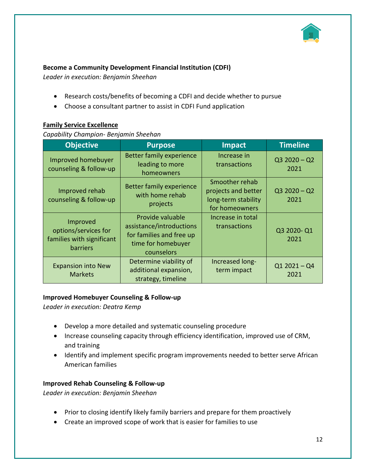

#### **Become a Community Development Financial Institution (CDFI)**

*Leader in execution: Benjamin Sheehan*

- Research costs/benefits of becoming a CDFI and decide whether to pursue
- Choose a consultant partner to assist in CDFI Fund application

#### **Family Service Excellence**

*Capability Champion- Benjamin Sheehan*

| <b>Objective</b>                                                          | <b>Purpose</b>                                                                                               | Impact                                                                         | <b>Timeline</b>       |
|---------------------------------------------------------------------------|--------------------------------------------------------------------------------------------------------------|--------------------------------------------------------------------------------|-----------------------|
| Improved homebuyer<br>counseling & follow-up                              | <b>Better family experience</b><br>leading to more<br>homeowners                                             | Increase in<br>transactions                                                    | $Q32020 - Q2$<br>2021 |
| Improved rehab<br>counseling & follow-up                                  | <b>Better family experience</b><br>with home rehab<br>projects                                               | Smoother rehab<br>projects and better<br>long-term stability<br>for homeowners | $Q32020 - Q2$<br>2021 |
| Improved<br>options/services for<br>families with significant<br>barriers | Provide valuable<br>assistance/introductions<br>for families and free up<br>time for homebuyer<br>counselors | Increase in total<br>transactions                                              | Q3 2020-Q1<br>2021    |
| <b>Expansion into New</b><br><b>Markets</b>                               | Determine viability of<br>additional expansion,<br>strategy, timeline                                        | Increased long-<br>term impact                                                 | $Q12021 - Q4$<br>2021 |

#### **Improved Homebuyer Counseling & Follow-up**

*Leader in execution: Deatra Kemp*

- Develop a more detailed and systematic counseling procedure
- Increase counseling capacity through efficiency identification, improved use of CRM, and training
- Identify and implement specific program improvements needed to better serve African American families

#### **Improved Rehab Counseling & Follow-up**

*Leader in execution: Benjamin Sheehan*

- Prior to closing identify likely family barriers and prepare for them proactively
- Create an improved scope of work that is easier for families to use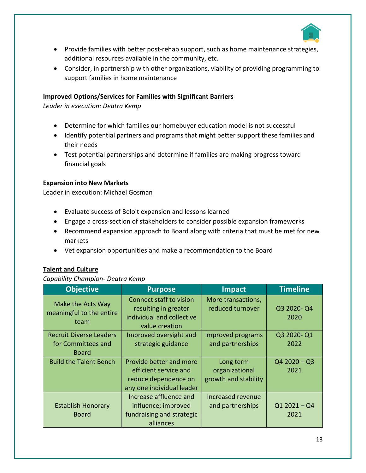

- Provide families with better post-rehab support, such as home maintenance strategies, additional resources available in the community, etc.
- Consider, in partnership with other organizations, viability of providing programming to support families in home maintenance

#### **Improved Options/Services for Families with Significant Barriers**

*Leader in execution: Deatra Kemp*

- Determine for which families our homebuyer education model is not successful
- Identify potential partners and programs that might better support these families and their needs
- Test potential partnerships and determine if families are making progress toward financial goals

#### **Expansion into New Markets**

Leader in execution: Michael Gosman

- Evaluate success of Beloit expansion and lessons learned
- Engage a cross-section of stakeholders to consider possible expansion frameworks
- Recommend expansion approach to Board along with criteria that must be met for new markets
- Vet expansion opportunities and make a recommendation to the Board

#### **Talent and Culture**

#### *Capability Champion- Deatra Kemp*

| <b>Objective</b>                                                     | <b>Purpose</b>                                                                                        | <b>Impact</b>                                       | <b>Timeline</b>       |
|----------------------------------------------------------------------|-------------------------------------------------------------------------------------------------------|-----------------------------------------------------|-----------------------|
| Make the Acts Way<br>meaningful to the entire<br>team                | <b>Connect staff to vision</b><br>resulting in greater<br>individual and collective<br>value creation | More transactions,<br>reduced turnover              | Q3 2020-Q4<br>2020    |
| <b>Recruit Diverse Leaders</b><br>for Committees and<br><b>Board</b> | Improved oversight and<br>strategic guidance                                                          | Improved programs<br>and partnerships               | Q3 2020-Q1<br>2022    |
| <b>Build the Talent Bench</b>                                        | Provide better and more<br>efficient service and<br>reduce dependence on<br>any one individual leader | Long term<br>organizational<br>growth and stability | $Q42020 - Q3$<br>2021 |
| <b>Establish Honorary</b><br><b>Board</b>                            | Increase affluence and<br>influence; improved<br>fundraising and strategic<br>alliances               | Increased revenue<br>and partnerships               | $Q12021 - Q4$<br>2021 |